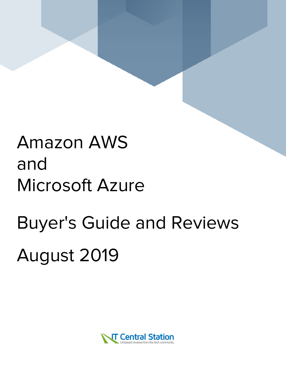## Amazon AWS and Microsoft Azure

# Buyer's Guide and Reviews August 2019

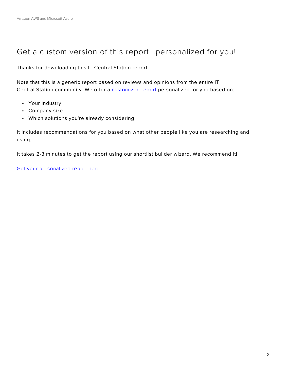## Get a custom version of this report...personalized for you!

Thanks for downloading this IT Central Station report.

Note that this is a generic report based on reviews and opinions from the entire IT Central Station community. We offer a **[customized report](https://www.itcentralstation.com/categories/infrastructure-as-a-service-clouds-iaas/shortlist?tid=pdf_comp_18968-19368)** personalized for you based on:

- Your industry
- Company size
- Which solutions you're already considering

It includes recommendations for you based on what other people like you are researching and using.

It takes 2-3 minutes to get the report using our shortlist builder wizard. We recommend it!

[Get your personalized report here.](https://www.itcentralstation.com/categories/infrastructure-as-a-service-clouds-iaas/shortlist?tid=pdf_comp_18968-19368)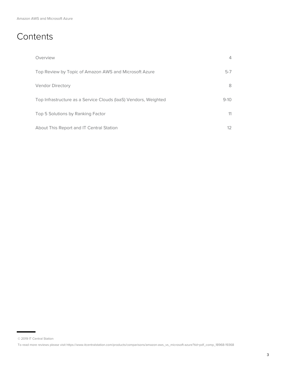## **Contents**

| Overview                                                        | 4                 |
|-----------------------------------------------------------------|-------------------|
| Top Review by Topic of Amazon AWS and Microsoft Azure           | $5-7$             |
| <b>Vendor Directory</b>                                         | 8                 |
| Top Infrastructure as a Service Clouds (IaaS) Vendors, Weighted | $9 - 10$          |
| Top 5 Solutions by Ranking Factor                               | 11                |
| About This Report and IT Central Station                        | $12 \overline{ }$ |

<sup>© 2019</sup> IT Central Station

To read more reviews please visit https://www.itcentralstation.com/products/comparisons/amazon-aws\_vs\_microsoft-azure?tid=pdf\_comp\_18968-19368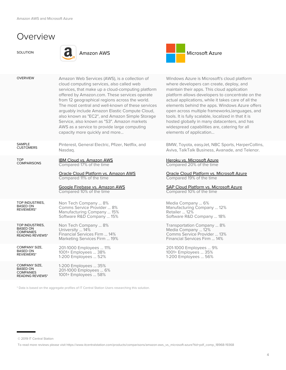## Overview

SAMPLE **CUSTOMERS** 

COMPARISONS

TOP INDUSTRIES, BASED ON **REVIEWERS**\*

REVIEWERS\*

TOP



Nasdaq.

OVERVIEW Amazon Web Services (AWS), is a collection of

cloud computing services, also called web

capacity more quickly and more...

[IBM Cloud vs. Amazon AWS](https://www.itcentralstation.com/products/comparisons/amazon-aws_vs_ibm-cloud?tid=pdf_comp_18968-19368) Compared 17% of the time

Compared 11% of the time

Non Tech Company ... 8% Comms Service Provider ... 8%

Pinterest, General Electric, Pfizer, Netflix, and

[Oracle Cloud Platform vs. Amazon AWS](https://www.itcentralstation.com/products/comparisons/amazon-aws_vs_oracle-cloud-platform?tid=pdf_comp_18968-19368)

[Google Firebase vs. Amazon AWS](https://www.itcentralstation.com/products/comparisons/amazon-aws_vs_google-firebase?tid=pdf_comp_18968-19368) Compared 10% of the time

services, that make up a cloud-computing platform offered by Amazon.com. These services operate from 12 geographical regions across the world. The most central and well-known of these services arguably include Amazon Elastic Compute Cloud, also known as "EC2", and Amazon Simple Storage Service, also known as "S3". Amazon markets AWS as a service to provide large computing



Windows Azure is Microsoft's cloud platform where developers can create, deploy, and maintain their apps. This cloud application platform allows developers to concentrate on the actual applications, while it takes care of all the elements behind the apps. Windows Azure offers open across multiple frameworks,languages, and tools. It is fully scalable, localized in that it is hosted globally in many datacenters, and has widespread capabilities are, catering for all elements of application...

BMW, Toyota, easyJet, NBC Sports, HarperCollins, Aviva, TalkTalk Business, Avanade, and Telenor.

#### [Heroku vs. Microsoft Azure](https://www.itcentralstation.com/products/comparisons/heroku_vs_microsoft-azure?tid=pdf_comp_18968-19368) Compared 20% of the time

[Oracle Cloud Platform vs. Microsoft Azure](https://www.itcentralstation.com/products/comparisons/microsoft-azure_vs_oracle-cloud-platform?tid=pdf_comp_18968-19368) Compared 19% of the time

#### [SAP Cloud Platform vs. Microsoft Azure](https://www.itcentralstation.com/products/comparisons/microsoft-azure_vs_sap-cloud-platform?tid=pdf_comp_18968-19368) Compared 10% of the time

Media Company ... 6% Manufacturing Company ... 12% Retailer ... 12% Software R&D Company ... 18%

Transportation Company ... 8% Media Company ... 12% Comms Service Provider ... 13% Financial Services Firm ... 14%

201-1000 Employees ... 9% 1001+ Employees ... 35% 1-200 Employees ... 56%

| 11 L V I L V V L I 1 J  | Manufacturing Company  15%<br>Software R&D Company  15%                                |
|-------------------------|----------------------------------------------------------------------------------------|
| TOP INDUSTRIES.         | Non Tech Company  8%                                                                   |
| <b>BASED ON</b>         | University  14%                                                                        |
| <b>COMPANIES</b>        | Financial Services Firm  14%                                                           |
| <b>READING REVIEWS*</b> | Marketing Services Firm  19%                                                           |
| <b>COMPANY SIZE,</b>    | 201-1000 Employees  11%                                                                |
| RASED ON                | $\mathbf{1} \cap \mathbf{1}$ $\mathbf{1} \cap \mathbf{1}$ $\mathbf{1} \cap \mathbf{1}$ |

COMPANY SIZE, BASED ON COMPANIES READING REVIEWS\* 1-200 Employees ... 35% 201-1000 Employees ... 6% 1001+ Employees ... 58%

\* Data is based on the aggregate profiles of IT Central Station Users researching this solution.

1001+ Employees ... 38% 1-200 Employees ... 52%

<sup>© 2019</sup> IT Central Station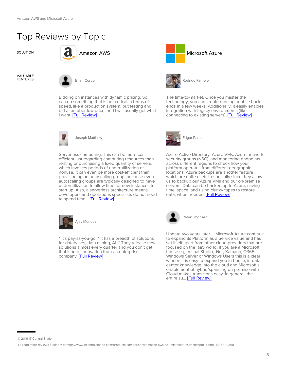## Top Reviews by Topic



VALUABLE



Bidding on instances with dynamic pricing. So, I can do something that is not critical in terms of speed, like a production system, but testing and bid at an uber low price, and I will usually get what I want. [\[Full Review\]](https://www.itcentralstation.com/product_reviews/amazon-aws-review-47703-by-brian-corbell?tid=pdf_comp_18968-19368)



Joseph Matthew

Serverless computing: This can be more costefficient just regarding computing resources than renting or purchasing a fixed quantity of servers, which involves periods of underutilization or nonuse. It can even be more cost-efficient than provisioning an autoscaling group, because even autoscaling groups are typically designed to have underutilization to allow time for new instances to start up. Also, a serverless architecture means developers and operations specialists do not need to spend time... [\[Full Review\]](https://www.itcentralstation.com/product_reviews/amazon-aws-review-49427-by-joseph-matthew?tid=pdf_comp_18968-19368)



\* It's pay-as-you-go. \* It has a breadth of solutions for databases, data mining, AI. \* They release new solutions almost every quarter and you don't get that kind of innovation from an enterprise company. [\[Full Review\]](https://www.itcentralstation.com/product_reviews/amazon-aws-review-51614-by-ajay-mendez?tid=pdf_comp_18968-19368)





Rodrigo Ramele

The time-to-market. Once you master the technology, you can create running, mobile backends in a few weeks. Additionally, it easily enables integration with legacy environments (like connecting to existing servers). **[Full Review]** 



Azure Active Directory, Azure VMs, Azure network security groups (NSG), and monitoring endpoints across different regions to check how your platform operates from different geographic locations. Azure backups are another feature which are quite useful, especially since they allow us to backup our Azure VMs and our on-premise servers. Data can be backed up to Azure, saving time, space, and using clunky tapes to restore data, when needed. [\[Full Review\]](https://www.itcentralstation.com/product_reviews/microsoft-azure-review-49713-by-edgar-parra?tid=pdf_comp_18968-19368)



PeterSimonsen

Update two years later.... Microsoft Azure continue to expand its Platform as a Service value and has set itself apart from other cloud providers that are focused on the IaaS world. If you are a Microsoft house e.g. Visual Studio, .Net, Xamarin, O365, Windows Server or Windows Users this is a clear winner. It is easy to expand you in-house, in-data center knowledge into the cloud and Microsoft's enablement of hybrid/spanning on-premise with Cloud makes transitions easy. In general, the entire su... [\[Full Review\]](https://www.itcentralstation.com/product_reviews/microsoft-azure-review-43574-by-petersimonsen?tid=pdf_comp_18968-19368)

<sup>© 2019</sup> IT Central Station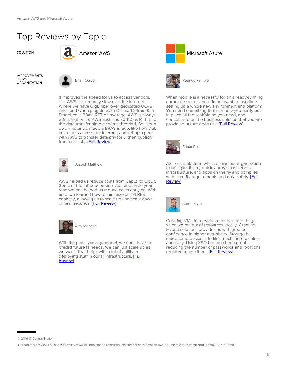## Top Reviews by Topic



IMPROVEMENTS TO MY



It improves the speed for us to access vendors, etc. AWS is extremely slow over the internet. Where we have GigE fiber over dedicated OC48 links, and when ping times to Dallas, TX from San Francisco is 30ms RTT on average, AWS is always 20ms higher. To AWS East, it is 70-110ms RTT, and the data transfer almost seems throttled. So I spun up an instance, made a BRAS image, like how DSL customers access the internet, and set up a peer with AWS to transfer data privately, then publicly from our inst... [\[Full Review\]](https://www.itcentralstation.com/product_reviews/amazon-aws-review-47703-by-brian-corbell?tid=pdf_comp_18968-19368)



Joseph Matthew

AWS helped us reduce costs from CapEx to OpEx. Some of the introduced one-year and three-year reservations helped us reduce costs early on. With time, we learned how to minimize our at REST capacity, allowing us to scale up and scale down in near seconds. [\[Full Review\]](https://www.itcentralstation.com/product_reviews/amazon-aws-review-49427-by-joseph-matthew?tid=pdf_comp_18968-19368)



With the pay-as-you-go model, we don't have to predict future IT needs. We can just scale up as we want. That helps with a lot of agility in deploying stuff in our IT infrastructure. [\[Full](https://www.itcentralstation.com/product_reviews/amazon-aws-review-51614-by-ajay-mendez?tid=pdf_comp_18968-19368) [Review\]](https://www.itcentralstation.com/product_reviews/amazon-aws-review-51614-by-ajay-mendez?tid=pdf_comp_18968-19368)





Rodrigo Ramele

When mobile is a necessity for an already-running corporate system, you do not want to lose time setting up a whole new environment and platform. You need something that can help you easily put in place all the scaffolding you need, and concentrate on the business solution that you are providing. Azure does this. **[\[Full Review\]](https://www.itcentralstation.com/product_reviews/microsoft-azure-review-50504-by-rodrigo-ramele?tid=pdf_comp_18968-19368)** 



Azure is a platform which allows our organization to be agile. It very quickly provisions servers, infrastructure, and apps on the fly and complies with security requirements and data safety. **[Full** [Review\]](https://www.itcentralstation.com/product_reviews/microsoft-azure-review-49713-by-edgar-parra?tid=pdf_comp_18968-19368)



Creating VMs for development has been huge since we ran out of resources locally. Creating Hybrid solutions provides us with greater confidence in higher availability. Storage has made remote access to files much more painless and easy. Using SSO has also been great reducing the number of passwords and locations required to use them. [\[Full Review\]](https://www.itcentralstation.com/product_reviews/microsoft-azure-review-33732-by-aaron-krytus?tid=pdf_comp_18968-19368)

<sup>© 2019</sup> IT Central Station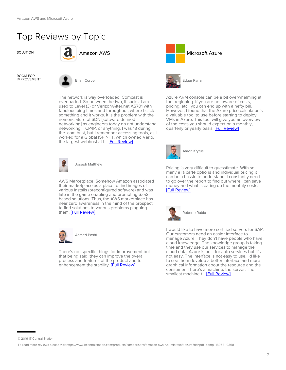## Top Reviews by Topic



ROOM FOR



The network is way overloaded. Comcast is overloaded. So between the two, it sucks. I am used to Level (3) or Verizon/Alter.net AS701 with fabulous ping times and throughput, where I click something and it works. It is the problem with the nomenclature of SDN [software defined networking] as engineers today do not understand networking, TCP/IP, or anything. I was 18 during the .com bust, but I remember accessing tools, as I worked for a Global ISP NTT, which owned Verio, the largest webhost at t... [\[Full Review\]](https://www.itcentralstation.com/product_reviews/amazon-aws-review-47703-by-brian-corbell?tid=pdf_comp_18968-19368)



Joseph Matthew

AWS Marketplace: Somehow Amazon associated their marketplace as a place to find images of various installs (preconfigured software) and was late in the game enabling and promoting SaaSbased solutions. Thus, the AWS marketplace has near zero awareness in the mind of the prospect to find solutions to various problems plaguing them. [\[Full Review\]](https://www.itcentralstation.com/product_reviews/amazon-aws-review-49427-by-joseph-matthew?tid=pdf_comp_18968-19368)



There's not specific things for improvement but that being said, they can improve the overall process and features of the product and to enhancement the stability. [\[Full Review\]](https://www.itcentralstation.com/product_reviews/amazon-aws-review-55292-by-ahmed-poshi?tid=pdf_comp_18968-19368)





Azure ARM console can be a bit overwhelming at the beginning. If you are not aware of costs, pricing, etc., you can end up with a hefty bill. However, I found that the Azure price calculator is a valuable tool to use before starting to deploy VMs in Azure. This tool will give you an overview of the costs you should expect on a monthly, quarterly or yearly basis. **[\[Full Review\]](https://www.itcentralstation.com/product_reviews/microsoft-azure-review-49713-by-edgar-parra?tid=pdf_comp_18968-19368)** 



Aaron Krytus

Pricing is very difficult to guesstimate. With so many a la carte options and individual pricing it can be a hassle to understand. I constantly need to go over the report to find out where I can save money and what is eating up the monthly costs. [\[Full Review\]](https://www.itcentralstation.com/product_reviews/microsoft-azure-review-33732-by-aaron-krytus?tid=pdf_comp_18968-19368)



I would like to have more certified servers for SAP. Our customers need an easier interface to manage Azure. They don't have people who have cloud knowledge. The knowledge group is taking time and they use our services to manage the cloud data. Azure is built for auto services but it's not easy. The interface is not easy to use. I'd like to see them develop a better interface and more graphical information about the resource and the consumer. There's a machine, the server. The smallest machine t... [\[Full Review\]](https://www.itcentralstation.com/product_reviews/microsoft-azure-review-54891-by-roberto-rubio?tid=pdf_comp_18968-19368)

<sup>© 2019</sup> IT Central Station

To read more reviews please visit https://www.itcentralstation.com/products/comparisons/amazon-aws\_vs\_microsoft-azure?tid=pdf\_comp\_18968-19368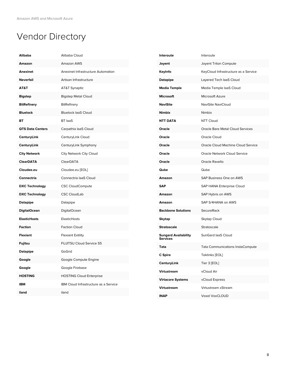## Vendor Directory

| <b>Alibaba</b>          | Alibaba Cloud                         |
|-------------------------|---------------------------------------|
| Amazon                  | <b>Amazon AWS</b>                     |
| Anexinet                | Anexinet Infrastructure Automation    |
| <b>Neverfail</b>        | Artisan Infrastructure                |
| AT&T                    | AT&T Synaptic                         |
| <b>Bigstep</b>          | <b>Bigstep Metal Cloud</b>            |
| <b>BitRefinery</b>      | <b>BitRefinery</b>                    |
| <b>Bluelock</b>         | <b>Bluelock laaS Cloud</b>            |
| BT                      | <b>BT</b> laaS                        |
| <b>QTS Data Centers</b> | Carpathia laaS Cloud                  |
| <b>CenturyLink</b>      | CenturyLink Cloud                     |
| CenturyLink             | CenturyLink Symphony                  |
| <b>City Network</b>     | City Network City Cloud               |
| <b>ClearDATA</b>        | ClearDATA                             |
| Cloudee.eu              | Cloudee.eu [EOL]                      |
| Connectria              | Connectria laaS Cloud                 |
| <b>DXC Technology</b>   | <b>CSC CloudCompute</b>               |
| <b>DXC Technology</b>   | <b>CSC CloudLab</b>                   |
| <b>Datapipe</b>         | Datapipe                              |
| <b>DigitalOcean</b>     | DigitalOcean                          |
| <b>ElasticHosts</b>     | ElasticHosts                          |
| Faction                 | <b>Faction Cloud</b>                  |
| <b>Flexiant</b>         | <b>Flexiant Extility</b>              |
| Fujitsu                 | <b>FUJITSU Cloud Service S5</b>       |
| <b>Datapipe</b>         | GoGrid                                |
| Google                  | Google Compute Engine                 |
| Google                  | Google Firebase                       |
| <b>HOSTING</b>          | <b>HOSTING Cloud Enterprise</b>       |
| <b>IBM</b>              | IBM Cloud Infrastructure as a Service |
| iland                   | iland                                 |
|                         |                                       |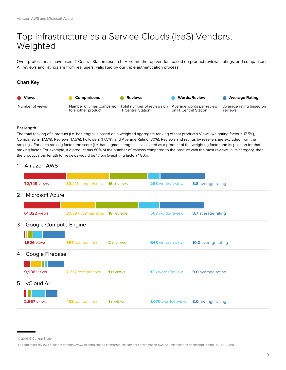## Top Infrastructure as a Service Clouds (IaaS) Vendors, Weighted

Over professionals have used IT Central Station research. Here are the top vendors based on product reviews, ratings, and comparisons. All reviews and ratings are from real users, validated by our triple authentication process.

#### **Chart Key**



#### **Bar length**

The total ranking of a product (i.e. bar length) is based on a weighted aggregate ranking of that product's Views (weighting factor = 17.5%), Comparisons (17.5%), Reviews (17.5%), Followers (17.5%), and Average Rating (30%). Reviews and ratings by resellers are excluded from the rankings. For each ranking factor, the score (i.e. bar segment length) is calculated as a product of the weighting factor and its position for that ranking factor. For example, if a product has 80% of the number of reviews compared to the product with the most reviews in its category, then the product's bar length for reviews would be 17.5% (weighting factor) \* 80%.

#### 1 Amazon AWS

|   | <b>72,749 views</b>    | 33,411 comparisons     | <b>16</b> reviews | 283 words/review          | 8.8 average rating         |  |
|---|------------------------|------------------------|-------------------|---------------------------|----------------------------|--|
| 2 | <b>Microsoft Azure</b> |                        |                   |                           |                            |  |
|   |                        |                        |                   |                           |                            |  |
|   | <b>61,322 views</b>    | 27,397 comparisons     | <b>18</b> reviews | <b>507</b> words/review   | 8.7 average rating         |  |
| 3 | Google Compute Engine  |                        |                   |                           |                            |  |
|   |                        |                        |                   |                           |                            |  |
|   | <b>1,526 views</b>     | <b>597</b> comparisons | 2 reviews         | <b>648</b> words/review   | <b>10.0</b> average rating |  |
| 4 | Google Firebase        |                        |                   |                           |                            |  |
|   |                        |                        |                   |                           |                            |  |
|   | <b>9,936</b> views     | 7,737 comparisons      | 1 reviews         | <b>136</b> words/review   | 9.0 average rating         |  |
| 5 | vCloud Air             |                        |                   |                           |                            |  |
|   |                        |                        |                   |                           |                            |  |
|   | <b>2,567 views</b>     | 433 comparisons        | 1 reviews         | <b>1,070</b> words/review | 8.0 average rating         |  |
|   |                        |                        |                   |                           |                            |  |

<sup>© 2019</sup> IT Central Station

To read more reviews please visit https://www.itcentralstation.com/products/comparisons/amazon-aws\_vs\_microsoft-azure?tid=pdf\_comp\_18968-19368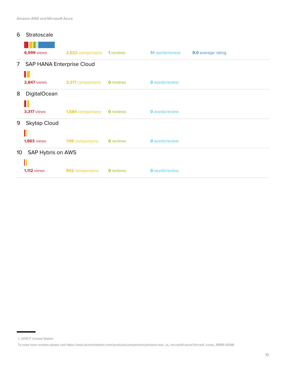| 6                                    | Stratoscale               |                   |                  |                        |                    |
|--------------------------------------|---------------------------|-------------------|------------------|------------------------|--------------------|
|                                      |                           |                   |                  |                        |                    |
|                                      | <b>6,999</b> views        | 2,522 comparisons | 1 reviews        | <b>51</b> words/review | 9.0 average rating |
| 7 <sup>7</sup>                       | SAP HANA Enterprise Cloud |                   |                  |                        |                    |
|                                      |                           |                   |                  |                        |                    |
|                                      | <b>2,847 views</b>        | 2,371 comparisons | <b>0</b> reviews | <b>O</b> words/review  |                    |
| 8                                    | <b>DigitalOcean</b>       |                   |                  |                        |                    |
|                                      |                           |                   |                  |                        |                    |
|                                      | <b>3,317 views</b>        | 1,584 comparisons | <b>0</b> reviews | <b>0</b> words/review  |                    |
| 9                                    | <b>Skytap Cloud</b>       |                   |                  |                        |                    |
|                                      |                           |                   |                  |                        |                    |
|                                      | <b>1,863</b> views        | 749 comparisons   | <b>0</b> reviews | <b>0</b> words/review  |                    |
| SAP Hybris on AWS<br>10 <sup>°</sup> |                           |                   |                  |                        |                    |
|                                      | Iľ                        |                   |                  |                        |                    |
|                                      | <b>1,112 views</b>        | 842 comparisons   | <b>0</b> reviews | <b>0</b> words/review  |                    |

<sup>© 2019</sup> IT Central Station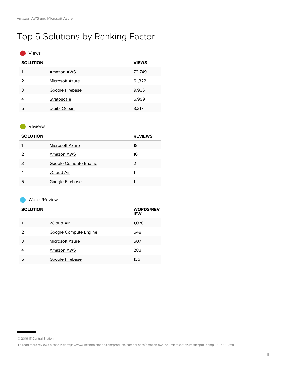## Top 5 Solutions by Ranking Factor

#### Views

| <b>SOLUTION</b> |                     | <b>VIEWS</b> |
|-----------------|---------------------|--------------|
|                 | Amazon AWS          | 72,749       |
| 2               | Microsoft Azure     | 61,322       |
| 3               | Google Firebase     | 9,936        |
| 4               | Stratoscale         | 6,999        |
| 5               | <b>DigitalOcean</b> | 3,317        |

#### Reviews

| <b>SOLUTION</b> |                       | <b>REVIEWS</b> |
|-----------------|-----------------------|----------------|
|                 | Microsoft Azure       | 18             |
| 2               | Amazon AWS            | 16             |
| 3               | Google Compute Engine | 2              |
|                 | vCloud Air            |                |
| 5               | Google Firebase       |                |

#### Words/Review

| <b>SOLUTION</b> |                       | <b>WORDS/REV</b><br><b>IEW</b> |
|-----------------|-----------------------|--------------------------------|
|                 | vCloud Air            | 1,070                          |
| 2               | Google Compute Engine | 648                            |
| З               | Microsoft Azure       | 507                            |
| 4               | Amazon AWS            | 283                            |
| 5               | Google Firebase       | 136                            |

<sup>© 2019</sup> IT Central Station

To read more reviews please visit https://www.itcentralstation.com/products/comparisons/amazon-aws\_vs\_microsoft-azure?tid=pdf\_comp\_18968-19368